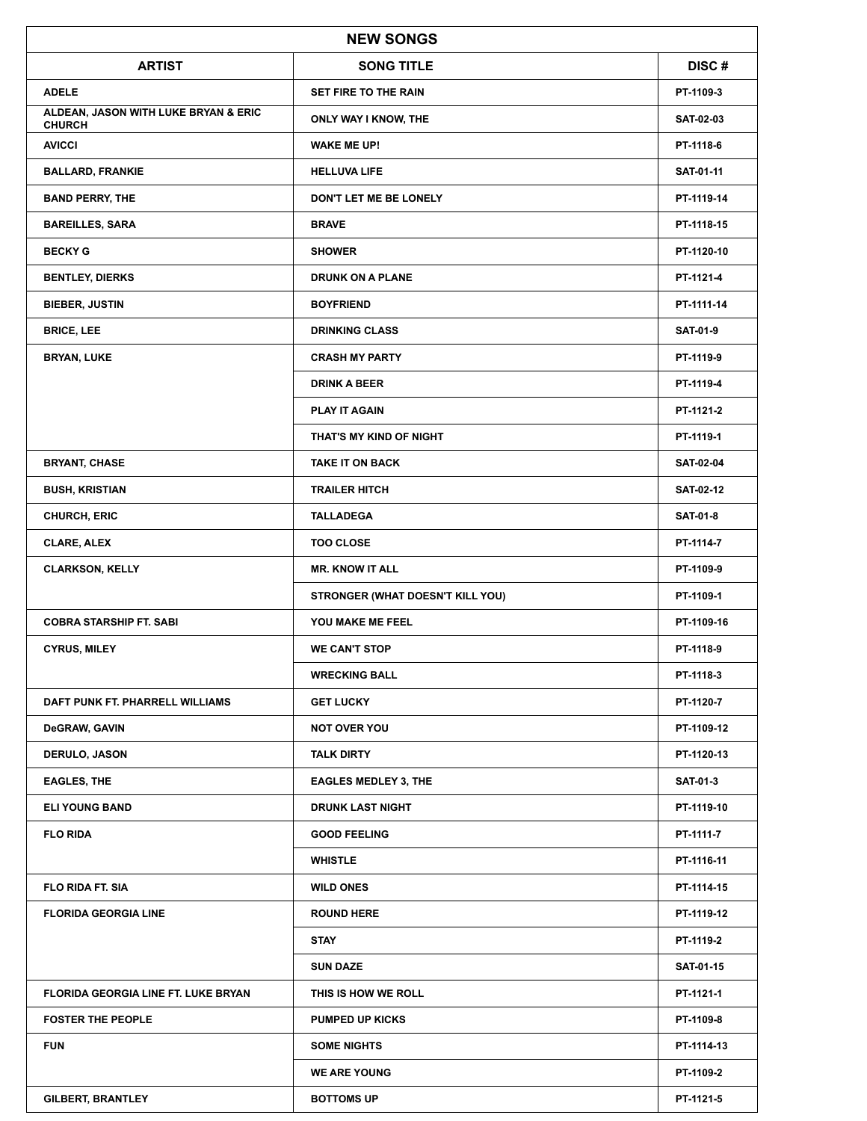| <b>NEW SONGS</b>                                      |                                  |                  |  |  |
|-------------------------------------------------------|----------------------------------|------------------|--|--|
| <b>ARTIST</b>                                         | <b>SONG TITLE</b>                | DISC#            |  |  |
| <b>ADELE</b>                                          | SET FIRE TO THE RAIN             | PT-1109-3        |  |  |
| ALDEAN, JASON WITH LUKE BRYAN & ERIC<br><b>CHURCH</b> | ONLY WAY I KNOW, THE             | <b>SAT-02-03</b> |  |  |
| <b>AVICCI</b>                                         | <b>WAKE ME UP!</b>               | PT-1118-6        |  |  |
| <b>BALLARD, FRANKIE</b>                               | <b>HELLUVA LIFE</b>              | SAT-01-11        |  |  |
| <b>BAND PERRY, THE</b>                                | DON'T LET ME BE LONELY           | PT-1119-14       |  |  |
| <b>BAREILLES, SARA</b>                                | <b>BRAVE</b>                     | PT-1118-15       |  |  |
| <b>BECKY G</b>                                        | <b>SHOWER</b>                    | PT-1120-10       |  |  |
| <b>BENTLEY, DIERKS</b>                                | <b>DRUNK ON A PLANE</b>          | PT-1121-4        |  |  |
| <b>BIEBER, JUSTIN</b>                                 | <b>BOYFRIEND</b>                 | PT-1111-14       |  |  |
| <b>BRICE, LEE</b>                                     | <b>DRINKING CLASS</b>            | <b>SAT-01-9</b>  |  |  |
| <b>BRYAN, LUKE</b>                                    | <b>CRASH MY PARTY</b>            | PT-1119-9        |  |  |
|                                                       | <b>DRINK A BEER</b>              | PT-1119-4        |  |  |
|                                                       | <b>PLAY IT AGAIN</b>             | PT-1121-2        |  |  |
|                                                       | THAT'S MY KIND OF NIGHT          | PT-1119-1        |  |  |
| <b>BRYANT, CHASE</b>                                  | <b>TAKE IT ON BACK</b>           | <b>SAT-02-04</b> |  |  |
| <b>BUSH, KRISTIAN</b>                                 | <b>TRAILER HITCH</b>             | <b>SAT-02-12</b> |  |  |
| <b>CHURCH, ERIC</b>                                   | <b>TALLADEGA</b>                 | <b>SAT-01-8</b>  |  |  |
| <b>CLARE, ALEX</b>                                    | <b>TOO CLOSE</b>                 | PT-1114-7        |  |  |
| <b>CLARKSON, KELLY</b>                                | <b>MR. KNOW IT ALL</b>           | PT-1109-9        |  |  |
|                                                       | STRONGER (WHAT DOESN'T KILL YOU) | PT-1109-1        |  |  |
| <b>COBRA STARSHIP FT. SABI</b>                        | YOU MAKE ME FEEL                 | PT-1109-16       |  |  |
| <b>CYRUS, MILEY</b>                                   | <b>WE CAN'T STOP</b>             | PT-1118-9        |  |  |
|                                                       | <b>WRECKING BALL</b>             | PT-1118-3        |  |  |
| DAFT PUNK FT. PHARRELL WILLIAMS                       | <b>GET LUCKY</b>                 | PT-1120-7        |  |  |
| DeGRAW, GAVIN                                         | <b>NOT OVER YOU</b>              | PT-1109-12       |  |  |
| <b>DERULO, JASON</b>                                  | <b>TALK DIRTY</b>                | PT-1120-13       |  |  |
| <b>EAGLES, THE</b>                                    | <b>EAGLES MEDLEY 3, THE</b>      | <b>SAT-01-3</b>  |  |  |
| <b>ELI YOUNG BAND</b>                                 | <b>DRUNK LAST NIGHT</b>          | PT-1119-10       |  |  |
| <b>FLO RIDA</b>                                       | <b>GOOD FEELING</b>              | PT-1111-7        |  |  |
|                                                       | <b>WHISTLE</b>                   | PT-1116-11       |  |  |
| <b>FLO RIDA FT. SIA</b>                               | <b>WILD ONES</b>                 | PT-1114-15       |  |  |
| <b>FLORIDA GEORGIA LINE</b>                           | <b>ROUND HERE</b>                | PT-1119-12       |  |  |
|                                                       | <b>STAY</b>                      | PT-1119-2        |  |  |
|                                                       | <b>SUN DAZE</b>                  | <b>SAT-01-15</b> |  |  |
| <b>FLORIDA GEORGIA LINE FT. LUKE BRYAN</b>            | THIS IS HOW WE ROLL              | PT-1121-1        |  |  |
| <b>FOSTER THE PEOPLE</b>                              | <b>PUMPED UP KICKS</b>           | PT-1109-8        |  |  |
| <b>FUN</b>                                            | <b>SOME NIGHTS</b>               | PT-1114-13       |  |  |
|                                                       | <b>WE ARE YOUNG</b>              | PT-1109-2        |  |  |
| <b>GILBERT, BRANTLEY</b>                              | <b>BOTTOMS UP</b>                | PT-1121-5        |  |  |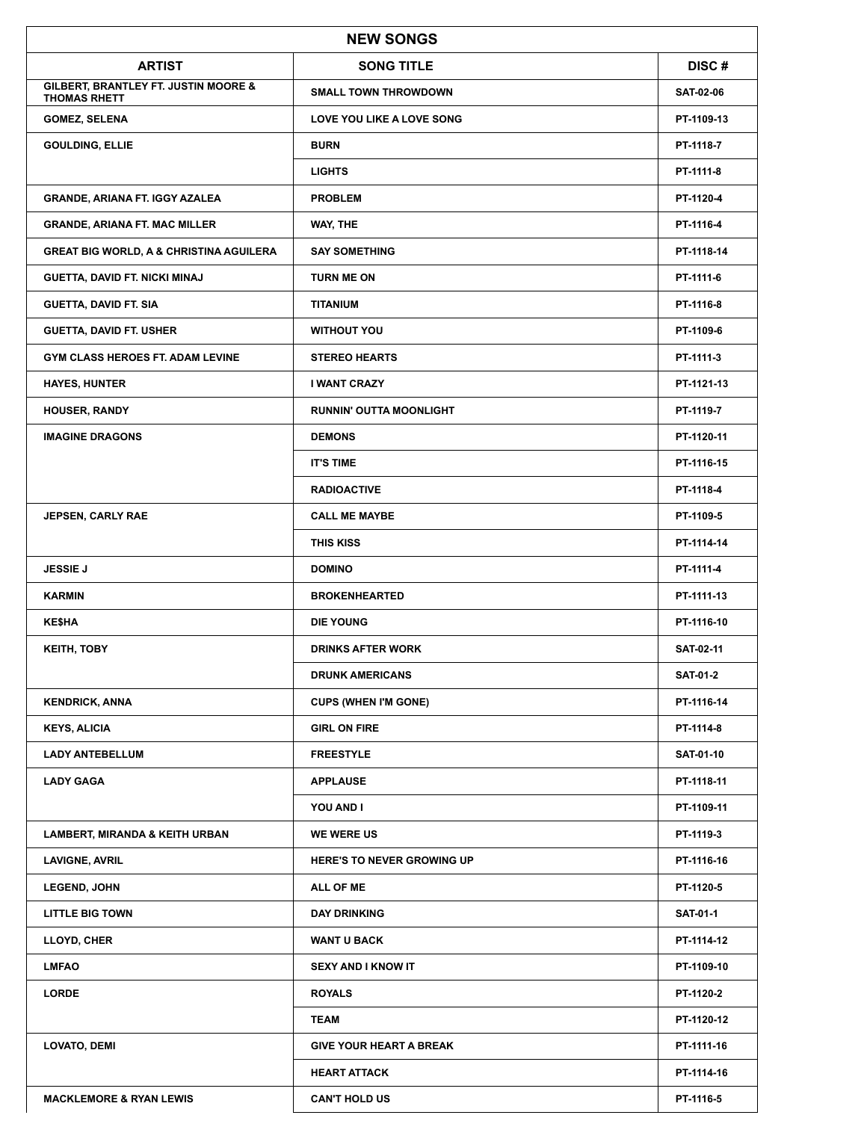| <b>NEW SONGS</b>                                            |                                   |                  |  |  |
|-------------------------------------------------------------|-----------------------------------|------------------|--|--|
| <b>ARTIST</b>                                               | <b>SONG TITLE</b>                 | DISC#            |  |  |
| GILBERT, BRANTLEY FT. JUSTIN MOORE &<br><b>THOMAS RHETT</b> | <b>SMALL TOWN THROWDOWN</b>       | <b>SAT-02-06</b> |  |  |
| <b>GOMEZ, SELENA</b>                                        | LOVE YOU LIKE A LOVE SONG         | PT-1109-13       |  |  |
| <b>GOULDING, ELLIE</b>                                      | <b>BURN</b>                       | PT-1118-7        |  |  |
|                                                             | <b>LIGHTS</b>                     | PT-1111-8        |  |  |
| <b>GRANDE, ARIANA FT. IGGY AZALEA</b>                       | <b>PROBLEM</b>                    | PT-1120-4        |  |  |
| <b>GRANDE, ARIANA FT. MAC MILLER</b>                        | WAY, THE                          | PT-1116-4        |  |  |
| <b>GREAT BIG WORLD, A &amp; CHRISTINA AGUILERA</b>          | <b>SAY SOMETHING</b>              | PT-1118-14       |  |  |
| GUETTA, DAVID FT. NICKI MINAJ                               | <b>TURN ME ON</b>                 | PT-1111-6        |  |  |
| <b>GUETTA, DAVID FT. SIA</b>                                | <b>TITANIUM</b>                   | PT-1116-8        |  |  |
| <b>GUETTA, DAVID FT. USHER</b>                              | <b>WITHOUT YOU</b>                | PT-1109-6        |  |  |
| GYM CLASS HEROES FT. ADAM LEVINE                            | <b>STEREO HEARTS</b>              | PT-1111-3        |  |  |
| <b>HAYES, HUNTER</b>                                        | <b>I WANT CRAZY</b>               | PT-1121-13       |  |  |
| <b>HOUSER, RANDY</b>                                        | <b>RUNNIN' OUTTA MOONLIGHT</b>    | PT-1119-7        |  |  |
| <b>IMAGINE DRAGONS</b>                                      | <b>DEMONS</b>                     | PT-1120-11       |  |  |
|                                                             | <b>IT'S TIME</b>                  | PT-1116-15       |  |  |
|                                                             | <b>RADIOACTIVE</b>                | PT-1118-4        |  |  |
| <b>JEPSEN, CARLY RAE</b>                                    | <b>CALL ME MAYBE</b>              | PT-1109-5        |  |  |
|                                                             | <b>THIS KISS</b>                  | PT-1114-14       |  |  |
| <b>JESSIE J</b>                                             | <b>DOMINO</b>                     | PT-1111-4        |  |  |
| <b>KARMIN</b>                                               | <b>BROKENHEARTED</b>              | PT-1111-13       |  |  |
| <b>KE\$HA</b>                                               | <b>DIE YOUNG</b>                  | PT-1116-10       |  |  |
| <b>KEITH, TOBY</b>                                          | <b>DRINKS AFTER WORK</b>          | SAT-02-11        |  |  |
|                                                             | <b>DRUNK AMERICANS</b>            | <b>SAT-01-2</b>  |  |  |
| <b>KENDRICK, ANNA</b>                                       | <b>CUPS (WHEN I'M GONE)</b>       | PT-1116-14       |  |  |
| <b>KEYS, ALICIA</b>                                         | <b>GIRL ON FIRE</b>               | PT-1114-8        |  |  |
| <b>LADY ANTEBELLUM</b>                                      | <b>FREESTYLE</b>                  | <b>SAT-01-10</b> |  |  |
| <b>LADY GAGA</b>                                            | <b>APPLAUSE</b>                   | PT-1118-11       |  |  |
|                                                             | YOU AND I                         | PT-1109-11       |  |  |
| <b>LAMBERT, MIRANDA &amp; KEITH URBAN</b>                   | <b>WE WERE US</b>                 | PT-1119-3        |  |  |
| <b>LAVIGNE, AVRIL</b>                                       | <b>HERE'S TO NEVER GROWING UP</b> | PT-1116-16       |  |  |
| <b>LEGEND, JOHN</b>                                         | ALL OF ME                         | PT-1120-5        |  |  |
| <b>LITTLE BIG TOWN</b>                                      | <b>DAY DRINKING</b>               | <b>SAT-01-1</b>  |  |  |
| LLOYD, CHER                                                 | <b>WANT U BACK</b>                | PT-1114-12       |  |  |
| <b>LMFAO</b>                                                | SEXY AND I KNOW IT                | PT-1109-10       |  |  |
| <b>LORDE</b>                                                | <b>ROYALS</b>                     | PT-1120-2        |  |  |
|                                                             | <b>TEAM</b>                       | PT-1120-12       |  |  |
| <b>LOVATO, DEMI</b>                                         | <b>GIVE YOUR HEART A BREAK</b>    | PT-1111-16       |  |  |
|                                                             | <b>HEART ATTACK</b>               | PT-1114-16       |  |  |
| <b>MACKLEMORE &amp; RYAN LEWIS</b>                          | <b>CAN'T HOLD US</b>              | PT-1116-5        |  |  |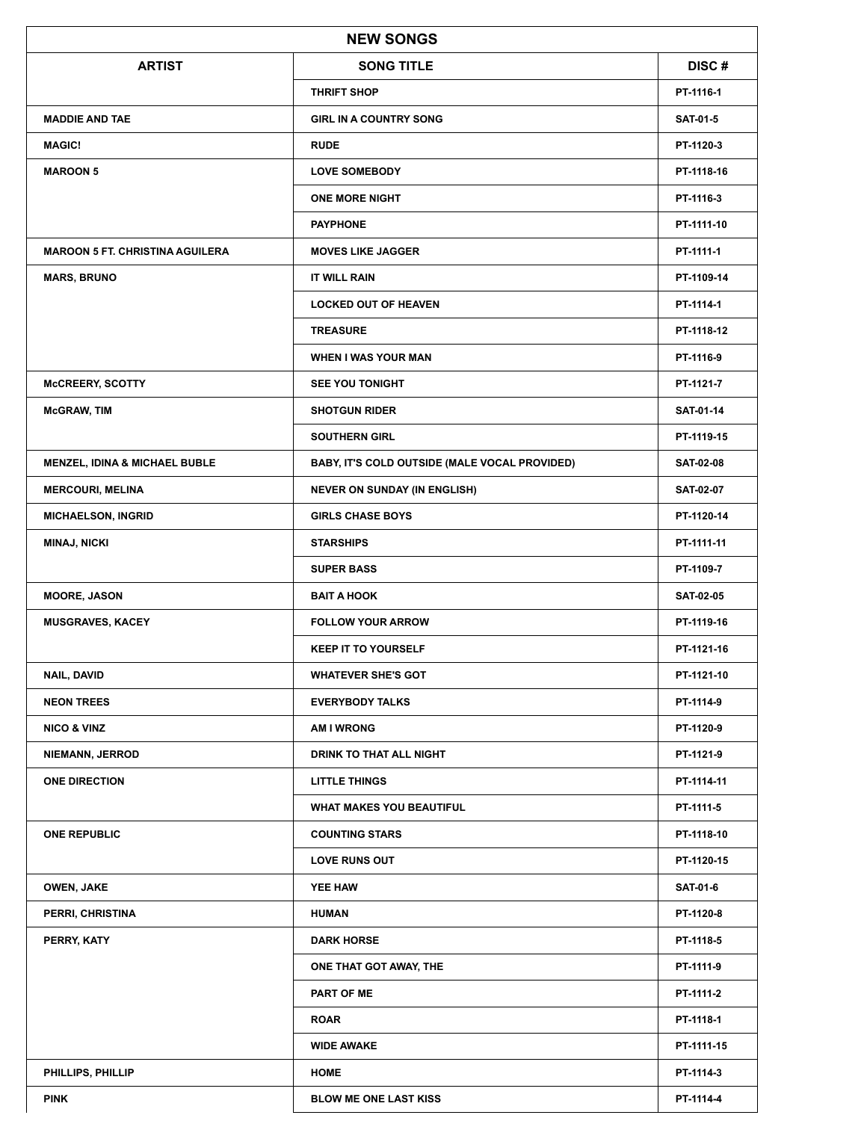| <b>NEW SONGS</b>                       |                                               |                  |  |  |
|----------------------------------------|-----------------------------------------------|------------------|--|--|
| <b>ARTIST</b>                          | <b>SONG TITLE</b>                             | DISC#            |  |  |
|                                        | <b>THRIFT SHOP</b>                            | PT-1116-1        |  |  |
| <b>MADDIE AND TAE</b>                  | <b>GIRL IN A COUNTRY SONG</b>                 | <b>SAT-01-5</b>  |  |  |
| <b>MAGIC!</b>                          | <b>RUDE</b>                                   | PT-1120-3        |  |  |
| <b>MAROON 5</b>                        | <b>LOVE SOMEBODY</b>                          | PT-1118-16       |  |  |
|                                        | <b>ONE MORE NIGHT</b>                         | PT-1116-3        |  |  |
|                                        | <b>PAYPHONE</b>                               | PT-1111-10       |  |  |
| <b>MAROON 5 FT. CHRISTINA AGUILERA</b> | <b>MOVES LIKE JAGGER</b>                      | PT-1111-1        |  |  |
| <b>MARS, BRUNO</b>                     | IT WILL RAIN                                  | PT-1109-14       |  |  |
|                                        | <b>LOCKED OUT OF HEAVEN</b>                   | PT-1114-1        |  |  |
|                                        | <b>TREASURE</b>                               | PT-1118-12       |  |  |
|                                        | <b>WHEN I WAS YOUR MAN</b>                    | PT-1116-9        |  |  |
| <b>McCREERY, SCOTTY</b>                | <b>SEE YOU TONIGHT</b>                        | PT-1121-7        |  |  |
| <b>McGRAW, TIM</b>                     | <b>SHOTGUN RIDER</b>                          | <b>SAT-01-14</b> |  |  |
|                                        | <b>SOUTHERN GIRL</b>                          | PT-1119-15       |  |  |
| MENZEL, IDINA & MICHAEL BUBLE          | BABY, IT'S COLD OUTSIDE (MALE VOCAL PROVIDED) | <b>SAT-02-08</b> |  |  |
| <b>MERCOURI, MELINA</b>                | <b>NEVER ON SUNDAY (IN ENGLISH)</b>           | <b>SAT-02-07</b> |  |  |
| <b>MICHAELSON, INGRID</b>              | <b>GIRLS CHASE BOYS</b>                       | PT-1120-14       |  |  |
| <b>MINAJ, NICKI</b>                    | <b>STARSHIPS</b>                              | PT-1111-11       |  |  |
|                                        | <b>SUPER BASS</b>                             | PT-1109-7        |  |  |
| <b>MOORE, JASON</b>                    | <b>BAIT A HOOK</b>                            | <b>SAT-02-05</b> |  |  |
| <b>MUSGRAVES, KACEY</b>                | <b>FOLLOW YOUR ARROW</b>                      | PT-1119-16       |  |  |
|                                        | <b>KEEP IT TO YOURSELF</b>                    | PT-1121-16       |  |  |
| <b>NAIL, DAVID</b>                     | <b>WHATEVER SHE'S GOT</b>                     | PT-1121-10       |  |  |
| <b>NEON TREES</b>                      | <b>EVERYBODY TALKS</b>                        | PT-1114-9        |  |  |
| <b>NICO &amp; VINZ</b>                 | <b>AM I WRONG</b>                             | PT-1120-9        |  |  |
| NIEMANN, JERROD                        | DRINK TO THAT ALL NIGHT                       | PT-1121-9        |  |  |
| <b>ONE DIRECTION</b>                   | <b>LITTLE THINGS</b>                          | PT-1114-11       |  |  |
|                                        | <b>WHAT MAKES YOU BEAUTIFUL</b>               | PT-1111-5        |  |  |
| <b>ONE REPUBLIC</b>                    | <b>COUNTING STARS</b>                         | PT-1118-10       |  |  |
|                                        | <b>LOVE RUNS OUT</b>                          | PT-1120-15       |  |  |
| OWEN, JAKE                             | YEE HAW                                       | <b>SAT-01-6</b>  |  |  |
| PERRI, CHRISTINA                       | <b>HUMAN</b>                                  | PT-1120-8        |  |  |
| PERRY, KATY                            | <b>DARK HORSE</b>                             | PT-1118-5        |  |  |
|                                        | ONE THAT GOT AWAY, THE                        | PT-1111-9        |  |  |
|                                        | <b>PART OF ME</b>                             | PT-1111-2        |  |  |
|                                        | <b>ROAR</b>                                   | PT-1118-1        |  |  |
|                                        | <b>WIDE AWAKE</b>                             | PT-1111-15       |  |  |
| PHILLIPS, PHILLIP                      | <b>HOME</b>                                   | PT-1114-3        |  |  |
| <b>PINK</b>                            | <b>BLOW ME ONE LAST KISS</b>                  | PT-1114-4        |  |  |